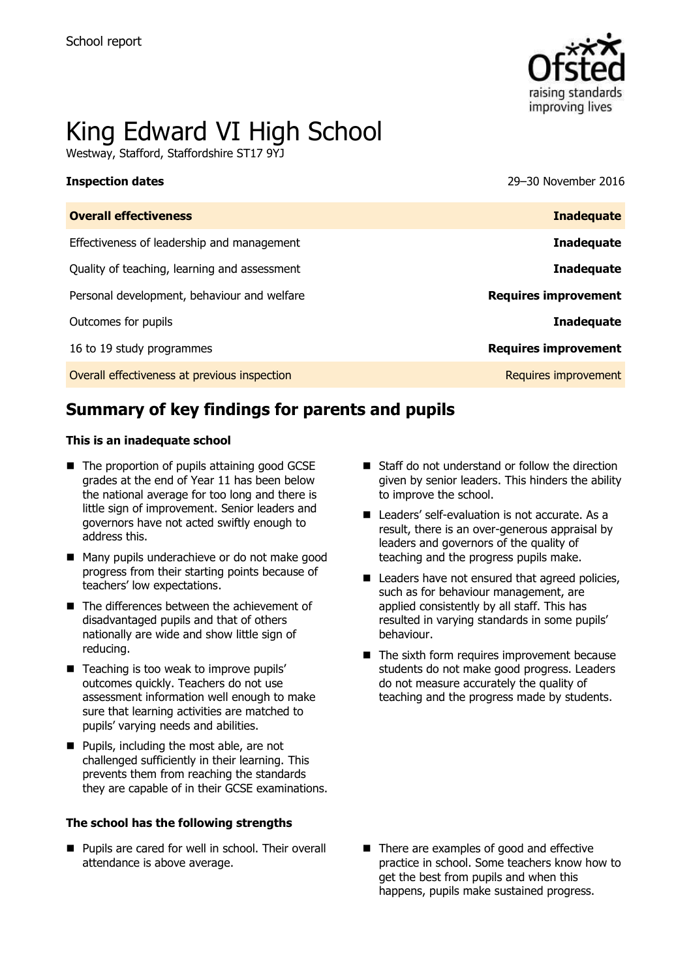

# King Edward VI High School

Westway, Stafford, Staffordshire ST17 9YJ

**Inspection dates** 29–30 November 2016

| <b>Overall effectiveness</b>                 | <b>Inadequate</b>           |
|----------------------------------------------|-----------------------------|
| Effectiveness of leadership and management   | <b>Inadequate</b>           |
| Quality of teaching, learning and assessment | <b>Inadequate</b>           |
| Personal development, behaviour and welfare  | <b>Requires improvement</b> |
| Outcomes for pupils                          | <b>Inadequate</b>           |
| 16 to 19 study programmes                    | <b>Requires improvement</b> |
| Overall effectiveness at previous inspection | Requires improvement        |

# **Summary of key findings for parents and pupils**

#### **This is an inadequate school**

- The proportion of pupils attaining good GCSE grades at the end of Year 11 has been below the national average for too long and there is little sign of improvement. Senior leaders and governors have not acted swiftly enough to address this.
- Many pupils underachieve or do not make good progress from their starting points because of teachers' low expectations.
- The differences between the achievement of disadvantaged pupils and that of others nationally are wide and show little sign of reducing.
- Teaching is too weak to improve pupils' outcomes quickly. Teachers do not use assessment information well enough to make sure that learning activities are matched to pupils' varying needs and abilities.
- **Pupils, including the most able, are not** challenged sufficiently in their learning. This prevents them from reaching the standards they are capable of in their GCSE examinations.

#### **The school has the following strengths**

**Pupils are cared for well in school. Their overall** attendance is above average.

- Staff do not understand or follow the direction given by senior leaders. This hinders the ability to improve the school.
- Leaders' self-evaluation is not accurate. As a result, there is an over-generous appraisal by leaders and governors of the quality of teaching and the progress pupils make.
- Leaders have not ensured that agreed policies, such as for behaviour management, are applied consistently by all staff. This has resulted in varying standards in some pupils' behaviour.
- $\blacksquare$  The sixth form requires improvement because students do not make good progress. Leaders do not measure accurately the quality of teaching and the progress made by students.

■ There are examples of good and effective practice in school. Some teachers know how to get the best from pupils and when this happens, pupils make sustained progress.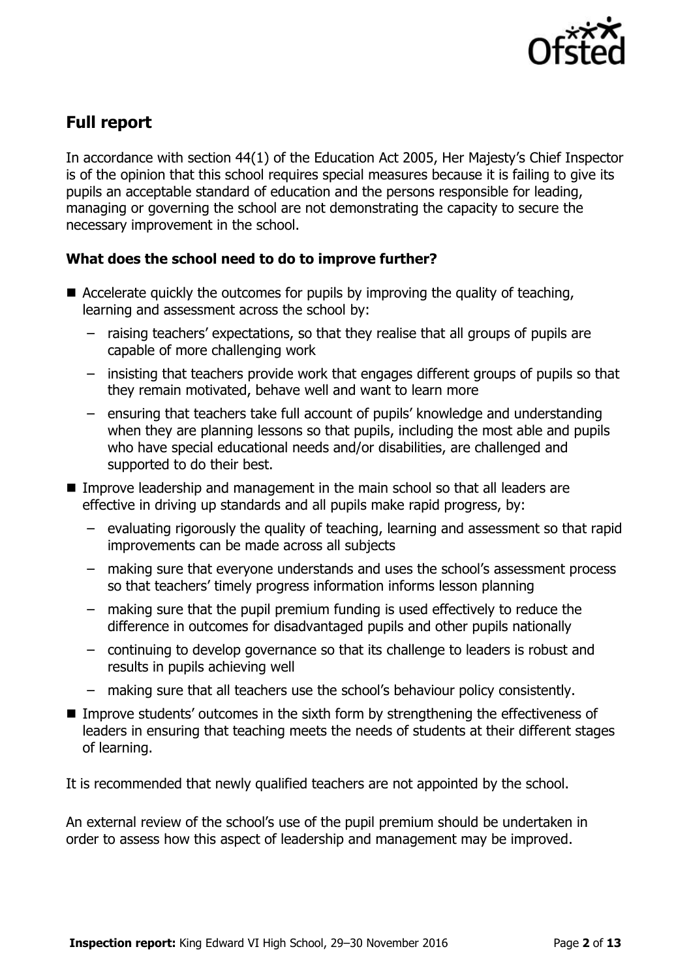

# **Full report**

In accordance with section 44(1) of the Education Act 2005, Her Majesty's Chief Inspector is of the opinion that this school requires special measures because it is failing to give its pupils an acceptable standard of education and the persons responsible for leading, managing or governing the school are not demonstrating the capacity to secure the necessary improvement in the school.

### **What does the school need to do to improve further?**

- Accelerate quickly the outcomes for pupils by improving the quality of teaching, learning and assessment across the school by:
	- raising teachers' expectations, so that they realise that all groups of pupils are capable of more challenging work
	- insisting that teachers provide work that engages different groups of pupils so that they remain motivated, behave well and want to learn more
	- ensuring that teachers take full account of pupils' knowledge and understanding when they are planning lessons so that pupils, including the most able and pupils who have special educational needs and/or disabilities, are challenged and supported to do their best.
- Improve leadership and management in the main school so that all leaders are effective in driving up standards and all pupils make rapid progress, by:
	- evaluating rigorously the quality of teaching, learning and assessment so that rapid improvements can be made across all subjects
	- making sure that everyone understands and uses the school's assessment process so that teachers' timely progress information informs lesson planning
	- making sure that the pupil premium funding is used effectively to reduce the difference in outcomes for disadvantaged pupils and other pupils nationally
	- continuing to develop governance so that its challenge to leaders is robust and results in pupils achieving well
	- making sure that all teachers use the school's behaviour policy consistently.
- Improve students' outcomes in the sixth form by strengthening the effectiveness of leaders in ensuring that teaching meets the needs of students at their different stages of learning.

It is recommended that newly qualified teachers are not appointed by the school.

An external review of the school's use of the pupil premium should be undertaken in order to assess how this aspect of leadership and management may be improved.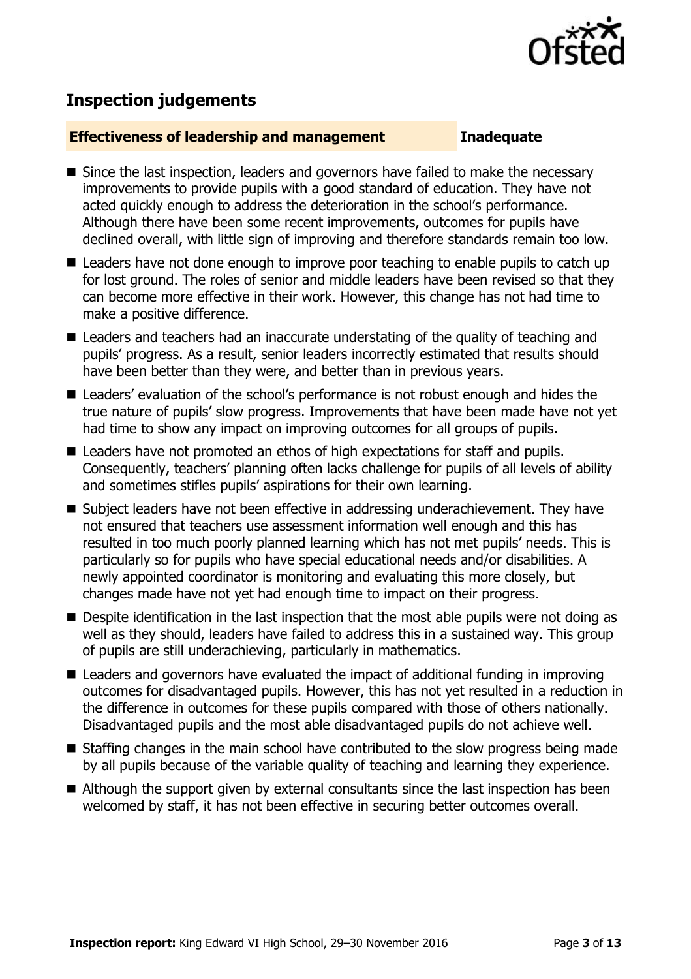

## **Inspection judgements**

#### **Effectiveness of leadership and management Inadequate**

- Since the last inspection, leaders and governors have failed to make the necessary improvements to provide pupils with a good standard of education. They have not acted quickly enough to address the deterioration in the school's performance. Although there have been some recent improvements, outcomes for pupils have declined overall, with little sign of improving and therefore standards remain too low.
- Leaders have not done enough to improve poor teaching to enable pupils to catch up for lost ground. The roles of senior and middle leaders have been revised so that they can become more effective in their work. However, this change has not had time to make a positive difference.
- Leaders and teachers had an inaccurate understating of the quality of teaching and pupils' progress. As a result, senior leaders incorrectly estimated that results should have been better than they were, and better than in previous years.
- Leaders' evaluation of the school's performance is not robust enough and hides the true nature of pupils' slow progress. Improvements that have been made have not yet had time to show any impact on improving outcomes for all groups of pupils.
- Leaders have not promoted an ethos of high expectations for staff and pupils. Consequently, teachers' planning often lacks challenge for pupils of all levels of ability and sometimes stifles pupils' aspirations for their own learning.
- Subject leaders have not been effective in addressing underachievement. They have not ensured that teachers use assessment information well enough and this has resulted in too much poorly planned learning which has not met pupils' needs. This is particularly so for pupils who have special educational needs and/or disabilities. A newly appointed coordinator is monitoring and evaluating this more closely, but changes made have not yet had enough time to impact on their progress.
- **Despite identification in the last inspection that the most able pupils were not doing as** well as they should, leaders have failed to address this in a sustained way. This group of pupils are still underachieving, particularly in mathematics.
- Leaders and governors have evaluated the impact of additional funding in improving outcomes for disadvantaged pupils. However, this has not yet resulted in a reduction in the difference in outcomes for these pupils compared with those of others nationally. Disadvantaged pupils and the most able disadvantaged pupils do not achieve well.
- Staffing changes in the main school have contributed to the slow progress being made by all pupils because of the variable quality of teaching and learning they experience.
- Although the support given by external consultants since the last inspection has been welcomed by staff, it has not been effective in securing better outcomes overall.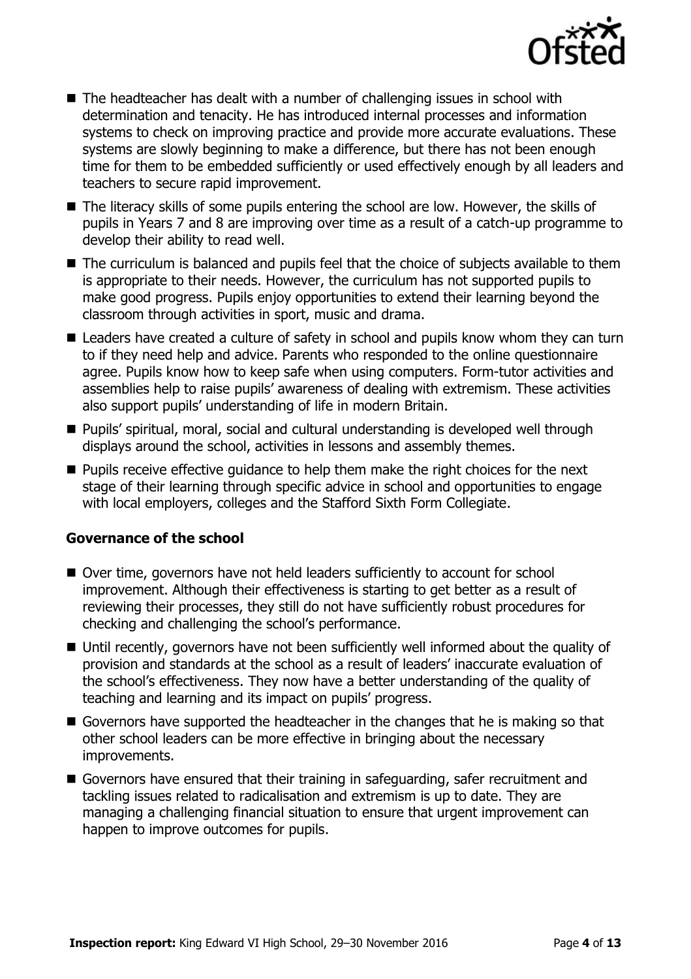

- $\blacksquare$  The headteacher has dealt with a number of challenging issues in school with determination and tenacity. He has introduced internal processes and information systems to check on improving practice and provide more accurate evaluations. These systems are slowly beginning to make a difference, but there has not been enough time for them to be embedded sufficiently or used effectively enough by all leaders and teachers to secure rapid improvement.
- The literacy skills of some pupils entering the school are low. However, the skills of pupils in Years 7 and 8 are improving over time as a result of a catch-up programme to develop their ability to read well.
- The curriculum is balanced and pupils feel that the choice of subjects available to them is appropriate to their needs. However, the curriculum has not supported pupils to make good progress. Pupils enjoy opportunities to extend their learning beyond the classroom through activities in sport, music and drama.
- Leaders have created a culture of safety in school and pupils know whom they can turn to if they need help and advice. Parents who responded to the online questionnaire agree. Pupils know how to keep safe when using computers. Form-tutor activities and assemblies help to raise pupils' awareness of dealing with extremism. These activities also support pupils' understanding of life in modern Britain.
- Pupils' spiritual, moral, social and cultural understanding is developed well through displays around the school, activities in lessons and assembly themes.
- **Pupils receive effective quidance to help them make the right choices for the next** stage of their learning through specific advice in school and opportunities to engage with local employers, colleges and the Stafford Sixth Form Collegiate.

#### **Governance of the school**

- Over time, governors have not held leaders sufficiently to account for school improvement. Although their effectiveness is starting to get better as a result of reviewing their processes, they still do not have sufficiently robust procedures for checking and challenging the school's performance.
- Until recently, governors have not been sufficiently well informed about the quality of provision and standards at the school as a result of leaders' inaccurate evaluation of the school's effectiveness. They now have a better understanding of the quality of teaching and learning and its impact on pupils' progress.
- Governors have supported the headteacher in the changes that he is making so that other school leaders can be more effective in bringing about the necessary improvements.
- Governors have ensured that their training in safeguarding, safer recruitment and tackling issues related to radicalisation and extremism is up to date. They are managing a challenging financial situation to ensure that urgent improvement can happen to improve outcomes for pupils.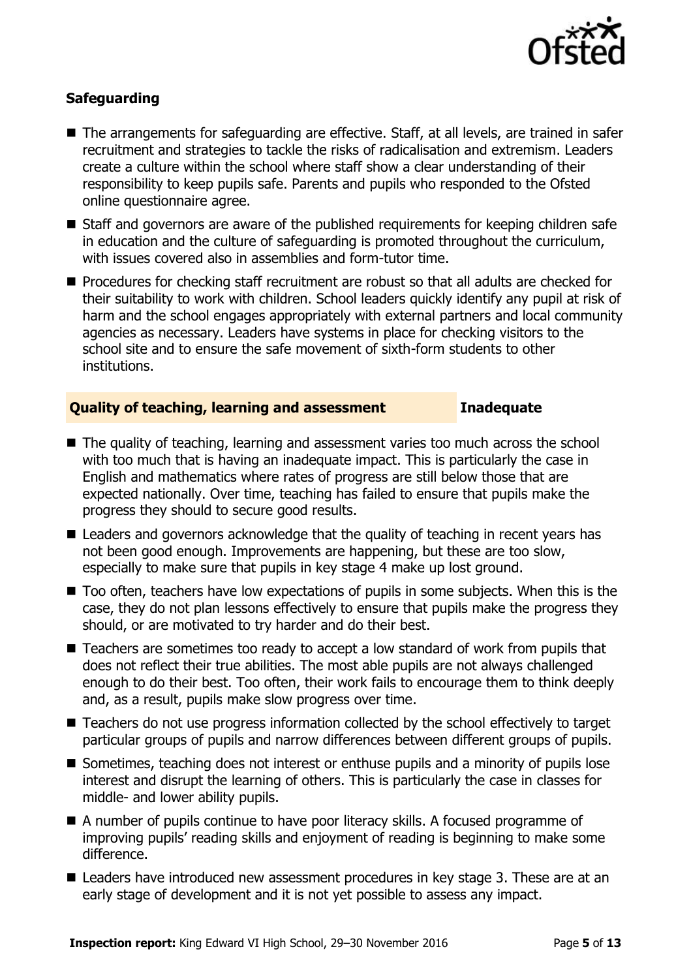

### **Safeguarding**

- The arrangements for safeguarding are effective. Staff, at all levels, are trained in safer recruitment and strategies to tackle the risks of radicalisation and extremism. Leaders create a culture within the school where staff show a clear understanding of their responsibility to keep pupils safe. Parents and pupils who responded to the Ofsted online questionnaire agree.
- Staff and governors are aware of the published requirements for keeping children safe in education and the culture of safeguarding is promoted throughout the curriculum, with issues covered also in assemblies and form-tutor time.
- **Procedures for checking staff recruitment are robust so that all adults are checked for** their suitability to work with children. School leaders quickly identify any pupil at risk of harm and the school engages appropriately with external partners and local community agencies as necessary. Leaders have systems in place for checking visitors to the school site and to ensure the safe movement of sixth-form students to other institutions.

### **Quality of teaching, learning and assessment Inadequate**

- The quality of teaching, learning and assessment varies too much across the school with too much that is having an inadequate impact. This is particularly the case in English and mathematics where rates of progress are still below those that are expected nationally. Over time, teaching has failed to ensure that pupils make the progress they should to secure good results.
- Leaders and governors acknowledge that the quality of teaching in recent years has not been good enough. Improvements are happening, but these are too slow, especially to make sure that pupils in key stage 4 make up lost ground.
- Too often, teachers have low expectations of pupils in some subjects. When this is the case, they do not plan lessons effectively to ensure that pupils make the progress they should, or are motivated to try harder and do their best.
- Teachers are sometimes too ready to accept a low standard of work from pupils that does not reflect their true abilities. The most able pupils are not always challenged enough to do their best. Too often, their work fails to encourage them to think deeply and, as a result, pupils make slow progress over time.
- Teachers do not use progress information collected by the school effectively to target particular groups of pupils and narrow differences between different groups of pupils.
- Sometimes, teaching does not interest or enthuse pupils and a minority of pupils lose interest and disrupt the learning of others. This is particularly the case in classes for middle- and lower ability pupils.
- A number of pupils continue to have poor literacy skills. A focused programme of improving pupils' reading skills and enjoyment of reading is beginning to make some difference.
- Leaders have introduced new assessment procedures in key stage 3. These are at an early stage of development and it is not yet possible to assess any impact.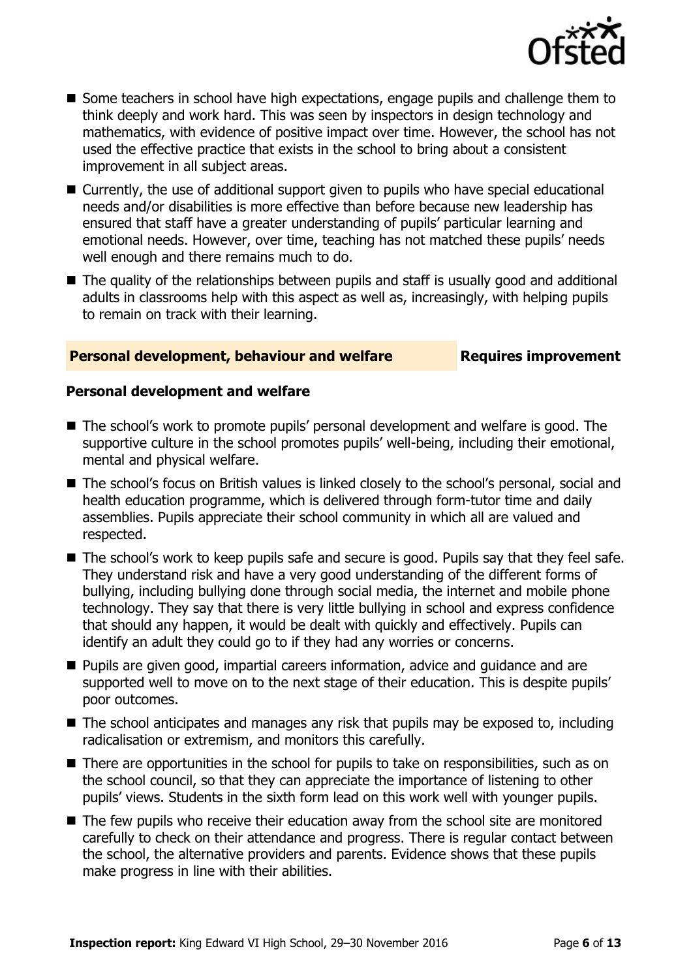

- Some teachers in school have high expectations, engage pupils and challenge them to think deeply and work hard. This was seen by inspectors in design technology and mathematics, with evidence of positive impact over time. However, the school has not used the effective practice that exists in the school to bring about a consistent improvement in all subject areas.
- Currently, the use of additional support given to pupils who have special educational needs and/or disabilities is more effective than before because new leadership has ensured that staff have a greater understanding of pupils' particular learning and emotional needs. However, over time, teaching has not matched these pupils' needs well enough and there remains much to do.
- The quality of the relationships between pupils and staff is usually good and additional adults in classrooms help with this aspect as well as, increasingly, with helping pupils to remain on track with their learning.

### **Personal development, behaviour and welfare Fig. 2.1 Requires improvement**

#### **Personal development and welfare**

- The school's work to promote pupils' personal development and welfare is good. The supportive culture in the school promotes pupils' well-being, including their emotional, mental and physical welfare.
- The school's focus on British values is linked closely to the school's personal, social and health education programme, which is delivered through form-tutor time and daily assemblies. Pupils appreciate their school community in which all are valued and respected.
- The school's work to keep pupils safe and secure is good. Pupils say that they feel safe. They understand risk and have a very good understanding of the different forms of bullying, including bullying done through social media, the internet and mobile phone technology. They say that there is very little bullying in school and express confidence that should any happen, it would be dealt with quickly and effectively. Pupils can identify an adult they could go to if they had any worries or concerns.
- **Pupils are given good, impartial careers information, advice and guidance and are** supported well to move on to the next stage of their education. This is despite pupils' poor outcomes.
- The school anticipates and manages any risk that pupils may be exposed to, including radicalisation or extremism, and monitors this carefully.
- There are opportunities in the school for pupils to take on responsibilities, such as on the school council, so that they can appreciate the importance of listening to other pupils' views. Students in the sixth form lead on this work well with younger pupils.
- The few pupils who receive their education away from the school site are monitored carefully to check on their attendance and progress. There is regular contact between the school, the alternative providers and parents. Evidence shows that these pupils make progress in line with their abilities.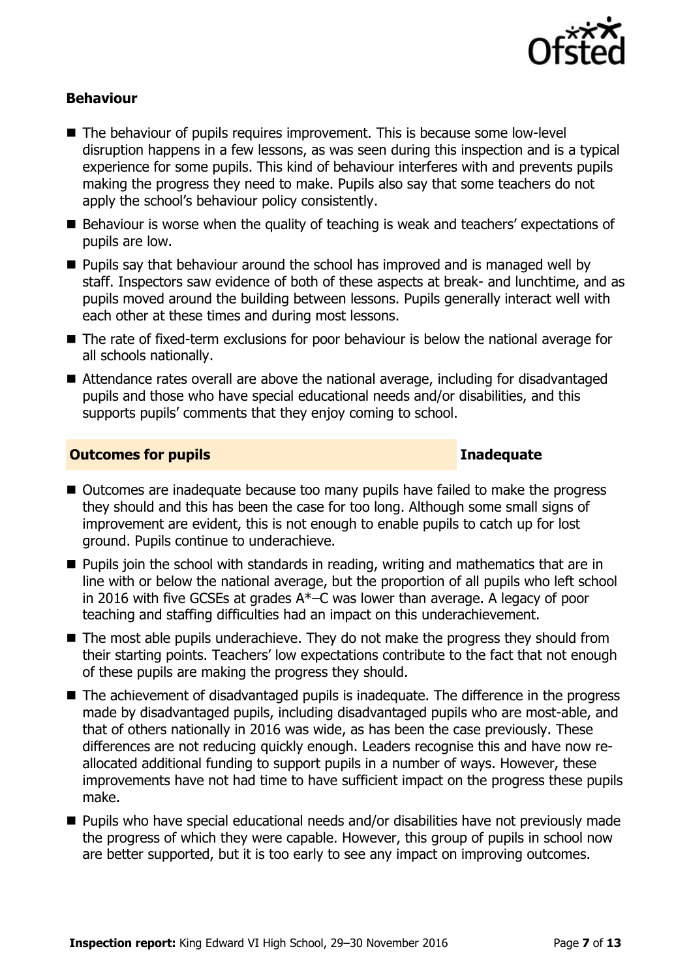

### **Behaviour**

- The behaviour of pupils requires improvement. This is because some low-level disruption happens in a few lessons, as was seen during this inspection and is a typical experience for some pupils. This kind of behaviour interferes with and prevents pupils making the progress they need to make. Pupils also say that some teachers do not apply the school's behaviour policy consistently.
- Behaviour is worse when the quality of teaching is weak and teachers' expectations of pupils are low.
- **Pupils say that behaviour around the school has improved and is managed well by** staff. Inspectors saw evidence of both of these aspects at break- and lunchtime, and as pupils moved around the building between lessons. Pupils generally interact well with each other at these times and during most lessons.
- The rate of fixed-term exclusions for poor behaviour is below the national average for all schools nationally.
- Attendance rates overall are above the national average, including for disadvantaged pupils and those who have special educational needs and/or disabilities, and this supports pupils' comments that they enjoy coming to school.

### **Outcomes for pupils Inadequate**

- Outcomes are inadequate because too many pupils have failed to make the progress they should and this has been the case for too long. Although some small signs of improvement are evident, this is not enough to enable pupils to catch up for lost ground. Pupils continue to underachieve.
- **Pupils join the school with standards in reading, writing and mathematics that are in** line with or below the national average, but the proportion of all pupils who left school in 2016 with five GCSEs at grades A\*–C was lower than average. A legacy of poor teaching and staffing difficulties had an impact on this underachievement.
- The most able pupils underachieve. They do not make the progress they should from their starting points. Teachers' low expectations contribute to the fact that not enough of these pupils are making the progress they should.
- The achievement of disadvantaged pupils is inadequate. The difference in the progress made by disadvantaged pupils, including disadvantaged pupils who are most-able, and that of others nationally in 2016 was wide, as has been the case previously. These differences are not reducing quickly enough. Leaders recognise this and have now reallocated additional funding to support pupils in a number of ways. However, these improvements have not had time to have sufficient impact on the progress these pupils make.
- Pupils who have special educational needs and/or disabilities have not previously made the progress of which they were capable. However, this group of pupils in school now are better supported, but it is too early to see any impact on improving outcomes.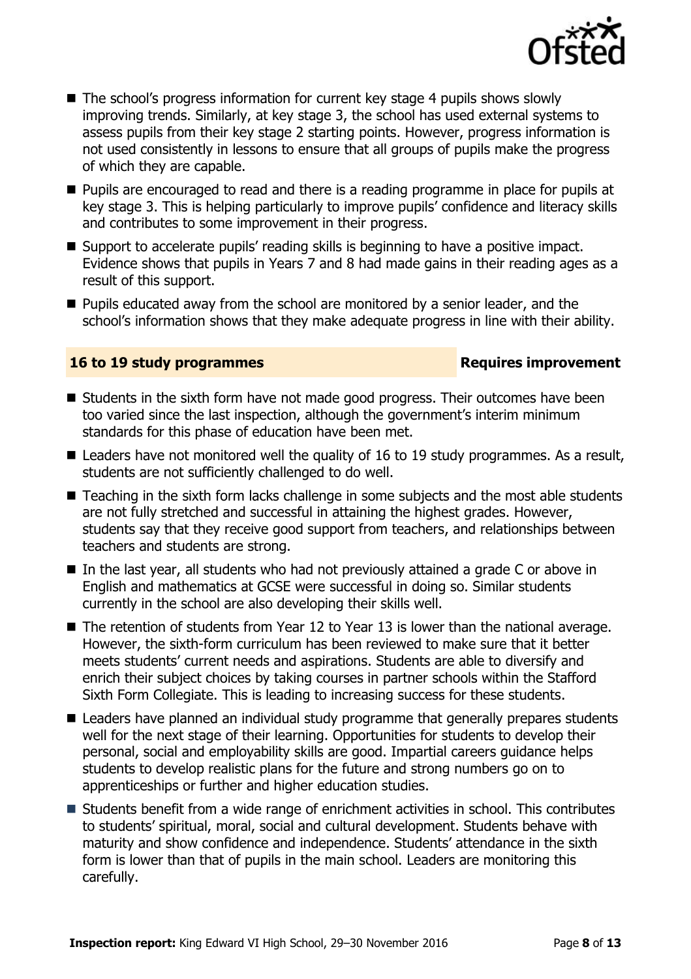

- The school's progress information for current key stage 4 pupils shows slowly improving trends. Similarly, at key stage 3, the school has used external systems to assess pupils from their key stage 2 starting points. However, progress information is not used consistently in lessons to ensure that all groups of pupils make the progress of which they are capable.
- **Pupils are encouraged to read and there is a reading programme in place for pupils at** key stage 3. This is helping particularly to improve pupils' confidence and literacy skills and contributes to some improvement in their progress.
- Support to accelerate pupils' reading skills is beginning to have a positive impact. Evidence shows that pupils in Years 7 and 8 had made gains in their reading ages as a result of this support.
- **Pupils educated away from the school are monitored by a senior leader, and the** school's information shows that they make adequate progress in line with their ability.

### **16 to 19 study programmes Requires improvement**

- Students in the sixth form have not made good progress. Their outcomes have been too varied since the last inspection, although the government's interim minimum standards for this phase of education have been met.
- $\blacksquare$  Leaders have not monitored well the quality of 16 to 19 study programmes. As a result, students are not sufficiently challenged to do well.
- Teaching in the sixth form lacks challenge in some subjects and the most able students are not fully stretched and successful in attaining the highest grades. However, students say that they receive good support from teachers, and relationships between teachers and students are strong.
- In the last year, all students who had not previously attained a grade C or above in English and mathematics at GCSE were successful in doing so. Similar students currently in the school are also developing their skills well.
- The retention of students from Year 12 to Year 13 is lower than the national average. However, the sixth-form curriculum has been reviewed to make sure that it better meets students' current needs and aspirations. Students are able to diversify and enrich their subject choices by taking courses in partner schools within the Stafford Sixth Form Collegiate. This is leading to increasing success for these students.
- Leaders have planned an individual study programme that generally prepares students well for the next stage of their learning. Opportunities for students to develop their personal, social and employability skills are good. Impartial careers guidance helps students to develop realistic plans for the future and strong numbers go on to apprenticeships or further and higher education studies.
- Students benefit from a wide range of enrichment activities in school. This contributes to students' spiritual, moral, social and cultural development. Students behave with maturity and show confidence and independence. Students' attendance in the sixth form is lower than that of pupils in the main school. Leaders are monitoring this carefully.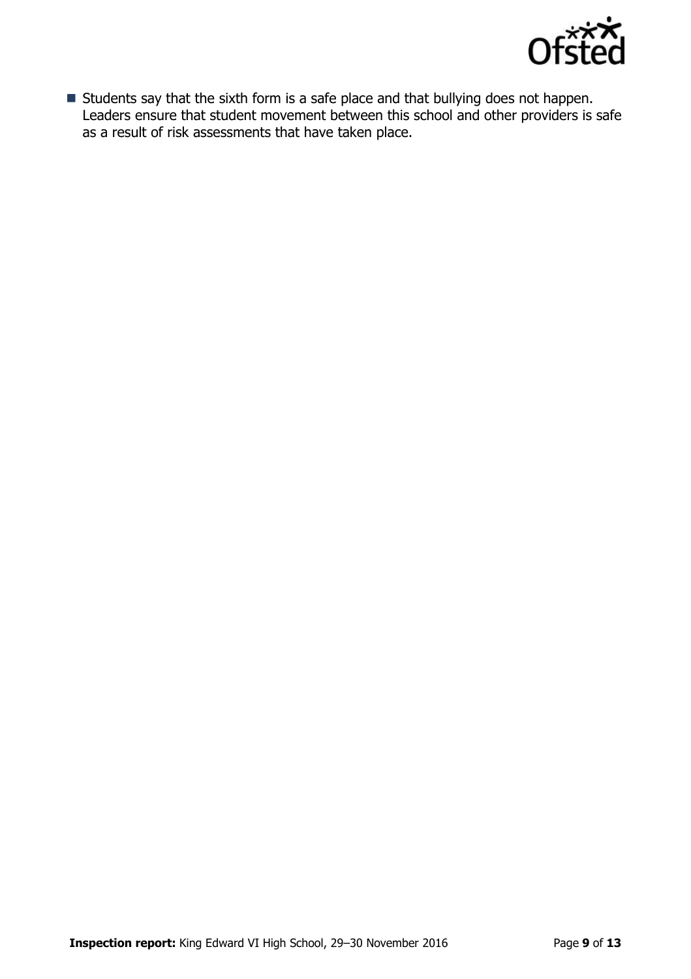

Students say that the sixth form is a safe place and that bullying does not happen. Leaders ensure that student movement between this school and other providers is safe as a result of risk assessments that have taken place.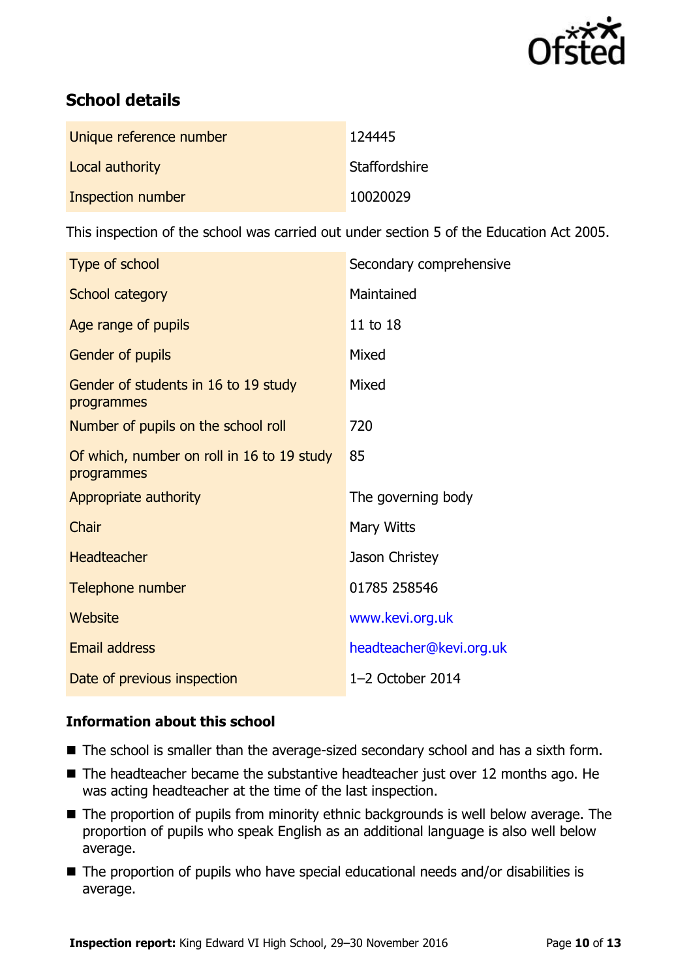

# **School details**

| Unique reference number | 124445        |
|-------------------------|---------------|
| Local authority         | Staffordshire |
| Inspection number       | 10020029      |

This inspection of the school was carried out under section 5 of the Education Act 2005.

| Type of school                                           | Secondary comprehensive |
|----------------------------------------------------------|-------------------------|
| School category                                          | Maintained              |
| Age range of pupils                                      | 11 to 18                |
| Gender of pupils                                         | Mixed                   |
| Gender of students in 16 to 19 study<br>programmes       | Mixed                   |
| Number of pupils on the school roll                      | 720                     |
| Of which, number on roll in 16 to 19 study<br>programmes | 85                      |
| Appropriate authority                                    | The governing body      |
| Chair                                                    | Mary Witts              |
| <b>Headteacher</b>                                       | Jason Christey          |
| Telephone number                                         | 01785 258546            |
| Website                                                  | www.kevi.org.uk         |
| <b>Email address</b>                                     | headteacher@kevi.org.uk |
| Date of previous inspection                              | 1-2 October 2014        |

### **Information about this school**

- The school is smaller than the average-sized secondary school and has a sixth form.
- $\blacksquare$  The headteacher became the substantive headteacher just over 12 months ago. He was acting headteacher at the time of the last inspection.
- The proportion of pupils from minority ethnic backgrounds is well below average. The proportion of pupils who speak English as an additional language is also well below average.
- The proportion of pupils who have special educational needs and/or disabilities is average.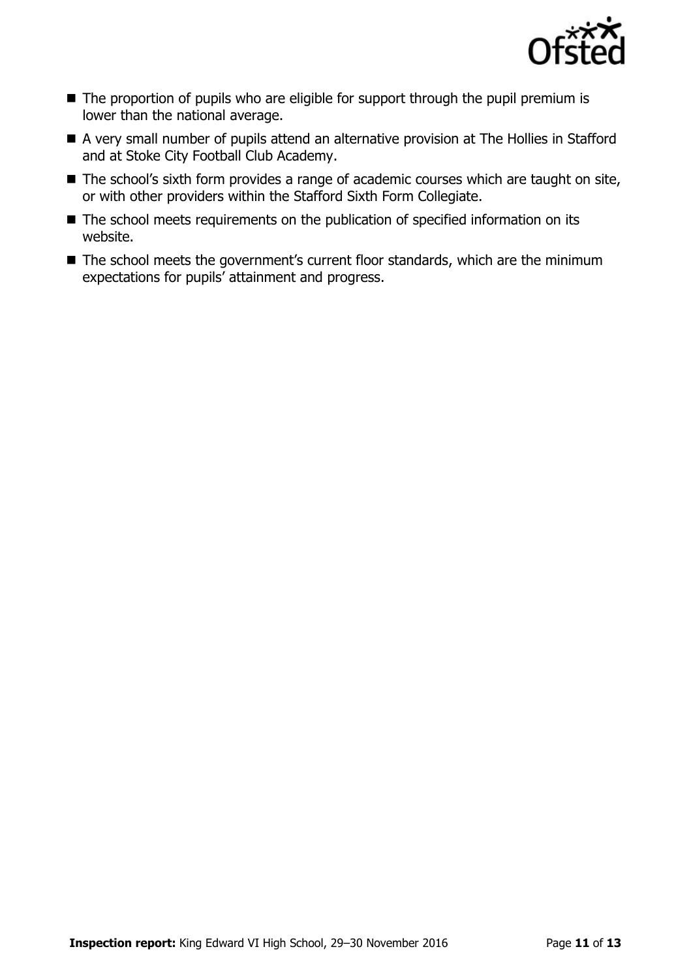

- $\blacksquare$  The proportion of pupils who are eligible for support through the pupil premium is lower than the national average.
- A very small number of pupils attend an alternative provision at The Hollies in Stafford and at Stoke City Football Club Academy.
- The school's sixth form provides a range of academic courses which are taught on site, or with other providers within the Stafford Sixth Form Collegiate.
- The school meets requirements on the publication of specified information on its website.
- The school meets the government's current floor standards, which are the minimum expectations for pupils' attainment and progress.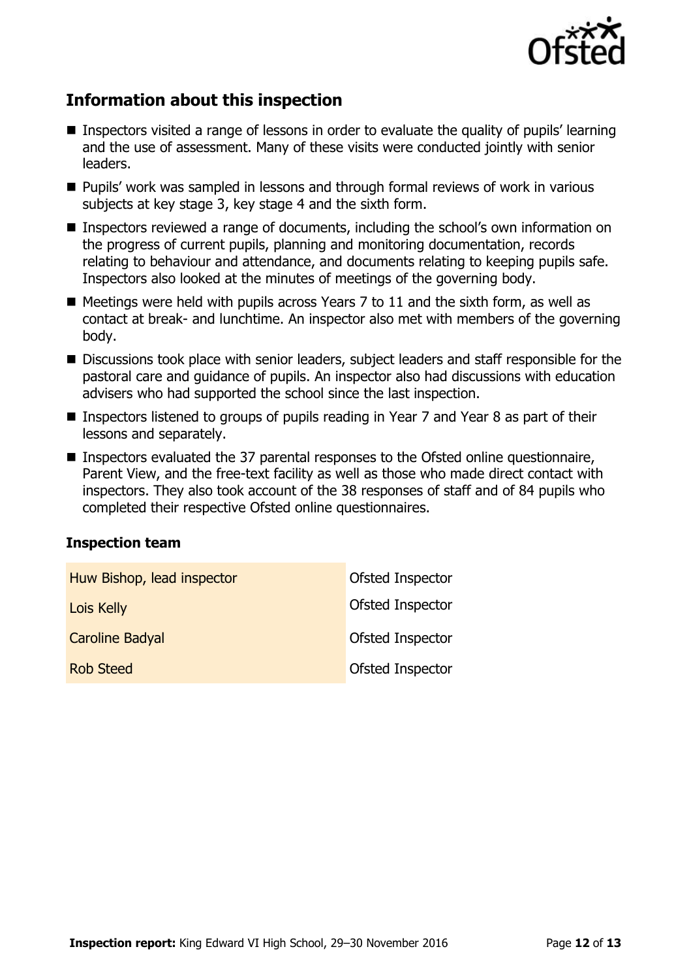

# **Information about this inspection**

- Inspectors visited a range of lessons in order to evaluate the quality of pupils' learning and the use of assessment. Many of these visits were conducted jointly with senior leaders.
- **Pupils' work was sampled in lessons and through formal reviews of work in various** subjects at key stage 3, key stage 4 and the sixth form.
- Inspectors reviewed a range of documents, including the school's own information on the progress of current pupils, planning and monitoring documentation, records relating to behaviour and attendance, and documents relating to keeping pupils safe. Inspectors also looked at the minutes of meetings of the governing body.
- $\blacksquare$  Meetings were held with pupils across Years 7 to 11 and the sixth form, as well as contact at break- and lunchtime. An inspector also met with members of the governing body.
- Discussions took place with senior leaders, subject leaders and staff responsible for the pastoral care and guidance of pupils. An inspector also had discussions with education advisers who had supported the school since the last inspection.
- Inspectors listened to groups of pupils reading in Year 7 and Year 8 as part of their lessons and separately.
- Inspectors evaluated the 37 parental responses to the Ofsted online questionnaire, Parent View, and the free-text facility as well as those who made direct contact with inspectors. They also took account of the 38 responses of staff and of 84 pupils who completed their respective Ofsted online questionnaires.

#### **Inspection team**

| Huw Bishop, lead inspector | Ofsted Inspector |
|----------------------------|------------------|
| Lois Kelly                 | Ofsted Inspector |
| <b>Caroline Badyal</b>     | Ofsted Inspector |
| <b>Rob Steed</b>           | Ofsted Inspector |